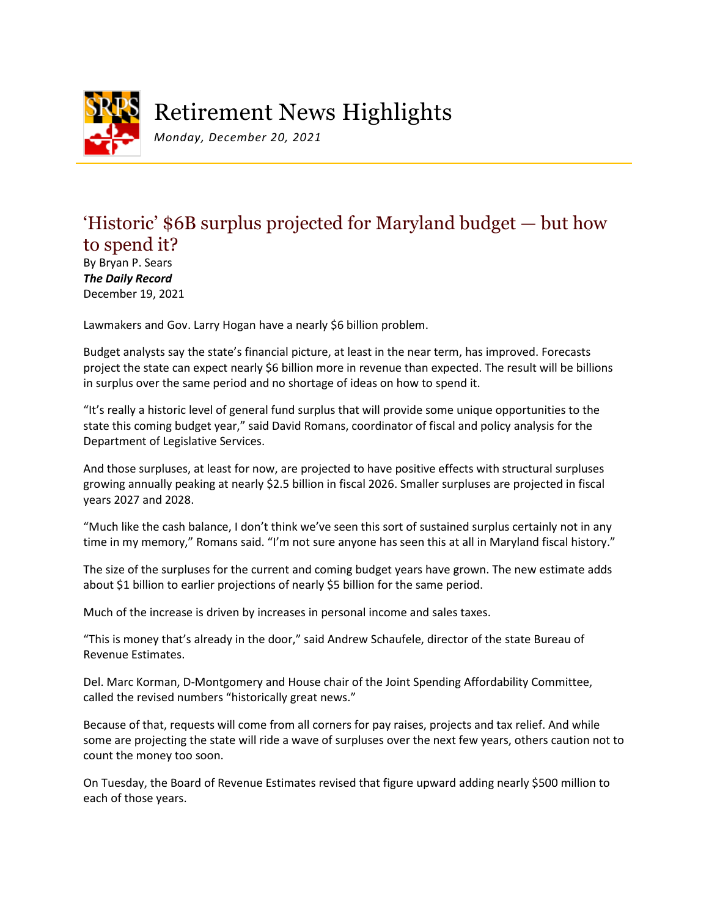

## Retirement News Highlights

*Monday, December 20, 2021*

## 'Historic' \$6B surplus projected for Maryland budget — but how to spend it?

By Bryan P. Sears *The Daily Record* December 19, 2021

Lawmakers and Gov. Larry Hogan have a nearly \$6 billion problem.

Budget analysts say the state's financial picture, at least in the near term, has improved. Forecasts project the state can expect nearly \$6 billion more in revenue than expected. The result will be billions in surplus over the same period and no shortage of ideas on how to spend it.

"It's really a historic level of general fund surplus that will provide some unique opportunities to the state this coming budget year," said David Romans, coordinator of fiscal and policy analysis for the Department of Legislative Services.

And those surpluses, at least for now, are projected to have positive effects with structural surpluses growing annually peaking at nearly \$2.5 billion in fiscal 2026. Smaller surpluses are projected in fiscal years 2027 and 2028.

"Much like the cash balance, I don't think we've seen this sort of sustained surplus certainly not in any time in my memory," Romans said. "I'm not sure anyone has seen this at all in Maryland fiscal history."

The size of the surpluses for the current and coming budget years have grown. The new estimate adds about \$1 billion to earlier projections of nearly \$5 billion for the same period.

Much of the increase is driven by increases in personal income and sales taxes.

"This is money that's already in the door," said Andrew Schaufele, director of the state Bureau of Revenue Estimates.

Del. Marc Korman, D-Montgomery and House chair of the Joint Spending Affordability Committee, called the revised numbers "historically great news."

Because of that, requests will come from all corners for pay raises, projects and tax relief. And while some are projecting the state will ride a wave of surpluses over the next few years, others caution not to count the money too soon.

On Tuesday, the Board of Revenue Estimates revised that figure upward adding nearly \$500 million to each of those years.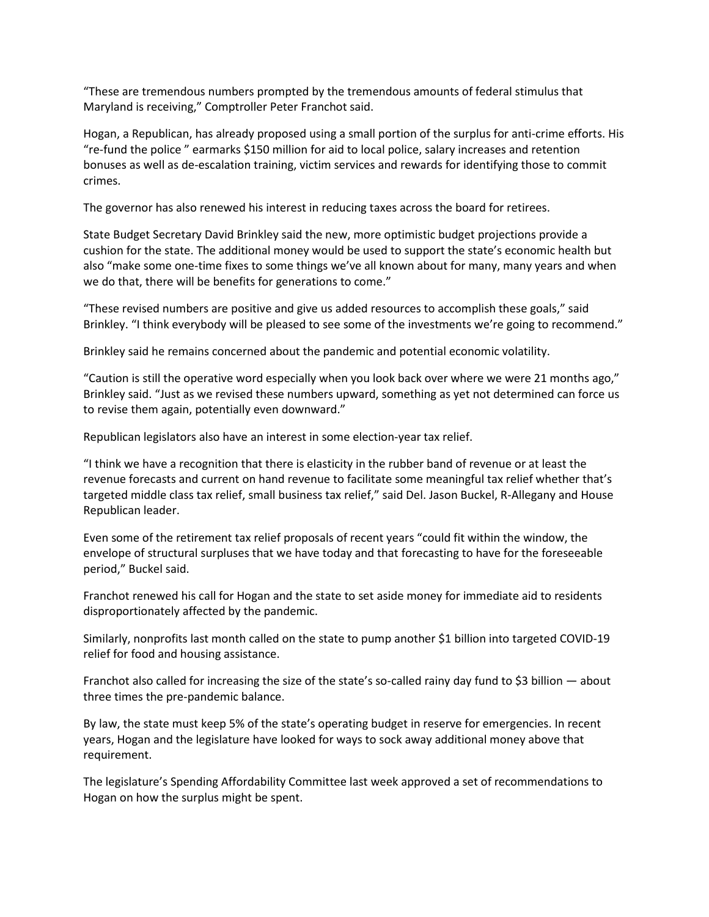"These are tremendous numbers prompted by the tremendous amounts of federal stimulus that Maryland is receiving," Comptroller Peter Franchot said.

Hogan, a Republican, has already proposed using a small portion of the surplus for anti-crime efforts. His "re-fund the police " earmarks \$150 million for aid to local police, salary increases and retention bonuses as well as de-escalation training, victim services and rewards for identifying those to commit crimes.

The governor has also renewed his interest in reducing taxes across the board for retirees.

State Budget Secretary David Brinkley said the new, more optimistic budget projections provide a cushion for the state. The additional money would be used to support the state's economic health but also "make some one-time fixes to some things we've all known about for many, many years and when we do that, there will be benefits for generations to come."

"These revised numbers are positive and give us added resources to accomplish these goals," said Brinkley. "I think everybody will be pleased to see some of the investments we're going to recommend."

Brinkley said he remains concerned about the pandemic and potential economic volatility.

"Caution is still the operative word especially when you look back over where we were 21 months ago," Brinkley said. "Just as we revised these numbers upward, something as yet not determined can force us to revise them again, potentially even downward."

Republican legislators also have an interest in some election-year tax relief.

"I think we have a recognition that there is elasticity in the rubber band of revenue or at least the revenue forecasts and current on hand revenue to facilitate some meaningful tax relief whether that's targeted middle class tax relief, small business tax relief," said Del. Jason Buckel, R-Allegany and House Republican leader.

Even some of the retirement tax relief proposals of recent years "could fit within the window, the envelope of structural surpluses that we have today and that forecasting to have for the foreseeable period," Buckel said.

Franchot renewed his call for Hogan and the state to set aside money for immediate aid to residents disproportionately affected by the pandemic.

Similarly, nonprofits last month called on the state to pump another \$1 billion into targeted COVID-19 relief for food and housing assistance.

Franchot also called for increasing the size of the state's so-called rainy day fund to \$3 billion — about three times the pre-pandemic balance.

By law, the state must keep 5% of the state's operating budget in reserve for emergencies. In recent years, Hogan and the legislature have looked for ways to sock away additional money above that requirement.

The legislature's Spending Affordability Committee last week approved a set of recommendations to Hogan on how the surplus might be spent.